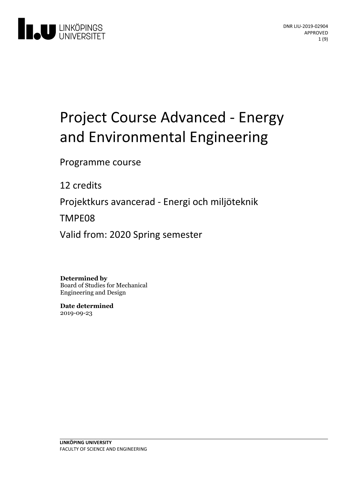

# Project Course Advanced - Energy and Environmental Engineering

Programme course

12 credits

Projektkurs avancerad - Energi och miljöteknik

TMPE08

Valid from: 2020 Spring semester

**Determined by** Board of Studies for Mechanical

Engineering and Design

**Date determined** 2019-09-23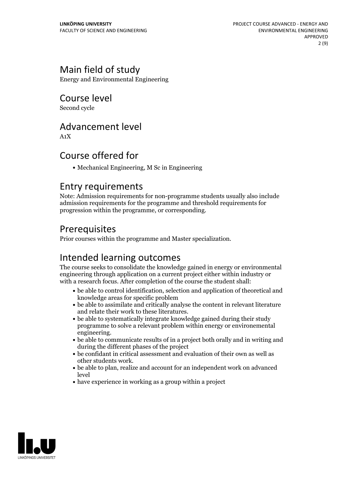# Main field of study

Energy and Environmental Engineering

Course level

Second cycle

### Advancement level

A1X

### Course offered for

Mechanical Engineering, M Sc in Engineering

### Entry requirements

Note: Admission requirements for non-programme students usually also include admission requirements for the programme and threshold requirements for progression within the programme, or corresponding.

### Prerequisites

Prior courses within the programme and Master specialization.

# Intended learning outcomes

The course seeks to consolidate the knowledge gained in energy or environmental engineering through application on a current project either within industry or with a research focus. After completion of the course the student shall:

- be able to control identification, selection and application of theoretical and knowledge areas for specific problem
- be able to assimilate and critically analyse the content in relevant literature and relate their work to these literatures.<br>• be able to systematically integrate knowledge gained during their study
- programme to solve a relevant problem within energy or environemental
- engineering.<br>• be able to communicate results of in a project both orally and in writing and during the different phases of the project
- be confidant in critical assessment and evaluation of their own aswell as other students work.<br>• be able to plan, realize and account for an independent work on advanced
- level
- have experience in working as a group within a project

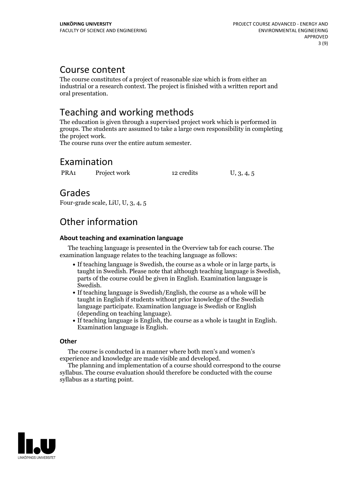### Course content

The course constitutes of a project of reasonable size which is from either an industrial or a research context. The project is finished with a written report and oral presentation.

# Teaching and working methods

The education is given through a supervised project work which is performed in groups. The students are assumed to take a large own responsibility in completing the project work. The course runs over the entire autum semester.

# Examination

PRA1 Project work 12 credits U, 3, 4, 5

### Grades

Four-grade scale, LiU, U, 3, 4, 5

# Other information

#### **About teaching and examination language**

The teaching language is presented in the Overview tab for each course. The examination language relates to the teaching language as follows:

- If teaching language is Swedish, the course as a whole or in large parts, is taught in Swedish. Please note that although teaching language is Swedish, parts of the course could be given in English. Examination language is Swedish.<br>• If teaching language is Swedish/English, the course as a whole will be
- taught in English if students without prior knowledge of the Swedish language participate. Examination language is Swedish or English
- (depending on teaching language).<br>• If teaching language is English, the course as a whole is taught in English.<br>Examination language is English.

#### **Other**

The course is conducted in a manner where both men's and women's

experience and knowledge are made visible and developed. The planning and implementation of <sup>a</sup> course should correspond to the course syllabus. The course evaluation should therefore be conducted with the course syllabus as a starting point.

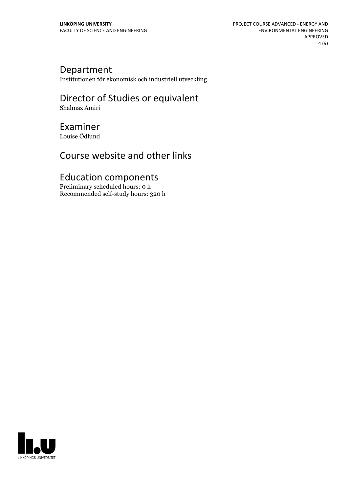### Department

Institutionen för ekonomisk och industriell utveckling

### Director of Studies or equivalent Shahnaz Amiri

# Examiner

Louise Ödlund

# Course website and other links

# Education components

Preliminary scheduled hours: 0 h Recommended self-study hours: 320 h

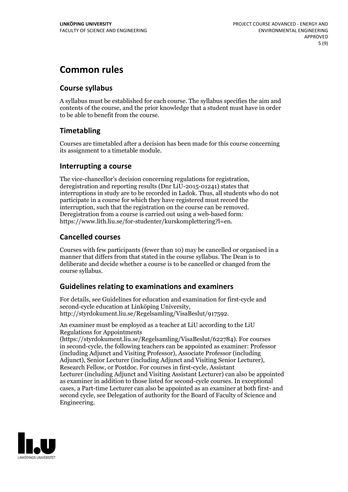# **Common rules**

#### **Course syllabus**

A syllabus must be established for each course. The syllabus specifies the aim and contents of the course, and the prior knowledge that a student must have in order to be able to benefit from the course.

### **Timetabling**

Courses are timetabled after a decision has been made for this course concerning its assignment to a timetable module.

#### **Interrupting a course**

The vice-chancellor's decision concerning regulations for registration, deregistration and reporting results (Dnr LiU-2015-01241) states that interruptions in study are to be recorded in Ladok. Thus, all students who do not participate in a course for which they have registered must record the interruption, such that the registration on the course can be removed. Deregistration from <sup>a</sup> course is carried outusing <sup>a</sup> web-based form: https://www.lith.liu.se/for-studenter/kurskomplettering?l=en.

#### **Cancelled courses**

Courses with few participants (fewer than 10) may be cancelled or organised in a manner that differs from that stated in the course syllabus. The Dean is to deliberate and decide whether a course is to be cancelled or changed from the course syllabus.

#### **Guidelines relatingto examinations and examiners**

For details, see Guidelines for education and examination for first-cycle and second-cycle education at Linköping University, http://styrdokument.liu.se/Regelsamling/VisaBeslut/917592.

An examiner must be employed as a teacher at LiU according to the LiU Regulations for Appointments

(https://styrdokument.liu.se/Regelsamling/VisaBeslut/622784). For courses in second-cycle, the following teachers can be appointed as examiner: Professor (including Adjunct and Visiting Professor), Associate Professor (including Adjunct), Senior Lecturer (including Adjunct and Visiting Senior Lecturer), Research Fellow, or Postdoc. For courses in first-cycle, Assistant Lecturer (including Adjunct and Visiting Assistant Lecturer) can also be appointed as examiner in addition to those listed for second-cycle courses. In exceptional cases, a Part-time Lecturer can also be appointed as an examiner at both first- and second cycle, see Delegation of authority for the Board of Faculty of Science and Engineering.

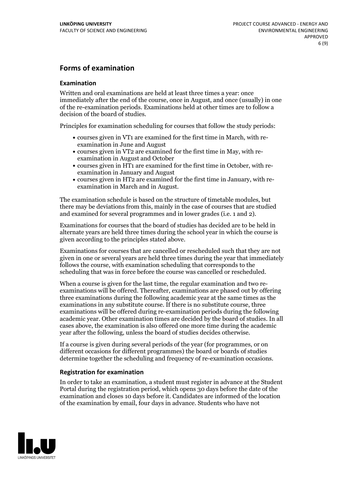#### **Forms of examination**

#### **Examination**

Written and oral examinations are held at least three times a year: once immediately after the end of the course, once in August, and once (usually) in one of the re-examination periods. Examinations held at other times are to follow a decision of the board of studies.

Principles for examination scheduling for courses that follow the study periods:

- courses given in VT1 are examined for the first time in March, with re-examination in June and August
- courses given in VT2 are examined for the first time in May, with re-examination in August and October
- courses given in HT1 are examined for the first time in October, with re-examination in January and August
- courses given in HT2 are examined for the first time in January, with re-examination in March and in August.

The examination schedule is based on the structure of timetable modules, but there may be deviations from this, mainly in the case of courses that are studied and examined for several programmes and in lower grades (i.e. 1 and 2).

Examinations for courses that the board of studies has decided are to be held in alternate years are held three times during the school year in which the course is given according to the principles stated above.

Examinations for courses that are cancelled orrescheduled such that they are not given in one or several years are held three times during the year that immediately follows the course, with examination scheduling that corresponds to the scheduling that was in force before the course was cancelled or rescheduled.

When a course is given for the last time, the regular examination and two re-<br>examinations will be offered. Thereafter, examinations are phased out by offering three examinations during the following academic year at the same times as the examinations in any substitute course. If there is no substitute course, three examinations will be offered during re-examination periods during the following academic year. Other examination times are decided by the board of studies. In all cases above, the examination is also offered one more time during the academic year after the following, unless the board of studies decides otherwise.

If a course is given during several periods of the year (for programmes, or on different occasions for different programmes) the board or boards of studies determine together the scheduling and frequency of re-examination occasions.

#### **Registration for examination**

In order to take an examination, a student must register in advance at the Student Portal during the registration period, which opens 30 days before the date of the examination and closes 10 days before it. Candidates are informed of the location of the examination by email, four days in advance. Students who have not

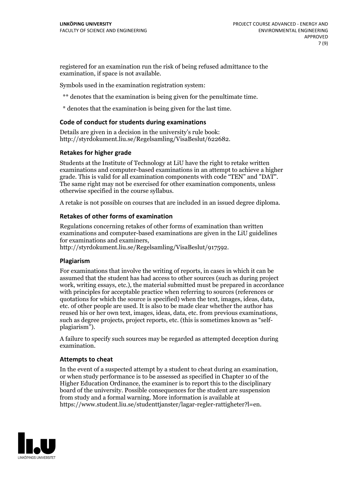registered for an examination run the risk of being refused admittance to the examination, if space is not available.

Symbols used in the examination registration system:

\*\* denotes that the examination is being given for the penultimate time.

\* denotes that the examination is being given for the last time.

#### **Code of conduct for students during examinations**

Details are given in a decision in the university's rule book: http://styrdokument.liu.se/Regelsamling/VisaBeslut/622682.

#### **Retakes for higher grade**

Students at the Institute of Technology at LiU have the right to retake written examinations and computer-based examinations in an attempt to achieve a higher grade. This is valid for all examination components with code "TEN" and "DAT". The same right may not be exercised for other examination components, unless otherwise specified in the course syllabus.

A retake is not possible on courses that are included in an issued degree diploma.

#### **Retakes of other forms of examination**

Regulations concerning retakes of other forms of examination than written examinations and computer-based examinations are given in the LiU guidelines

http://styrdokument.liu.se/Regelsamling/VisaBeslut/917592.

#### **Plagiarism**

For examinations that involve the writing of reports, in cases in which it can be assumed that the student has had access to other sources (such as during project work, writing essays, etc.), the material submitted must be prepared in accordance with principles for acceptable practice when referring to sources (references or quotations for which the source is specified) when the text, images, ideas, data, etc. of other people are used. It is also to be made clear whether the author has reused his or her own text, images, ideas, data, etc. from previous examinations, such as degree projects, project reports, etc. (this is sometimes known as "self- plagiarism").

A failure to specify such sources may be regarded as attempted deception during examination.

#### **Attempts to cheat**

In the event of <sup>a</sup> suspected attempt by <sup>a</sup> student to cheat during an examination, or when study performance is to be assessed as specified in Chapter <sup>10</sup> of the Higher Education Ordinance, the examiner is to report this to the disciplinary board of the university. Possible consequences for the student are suspension from study and a formal warning. More information is available at https://www.student.liu.se/studenttjanster/lagar-regler-rattigheter?l=en.

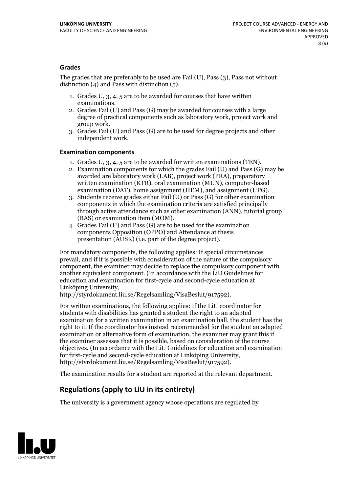#### **Grades**

The grades that are preferably to be used are Fail (U), Pass (3), Pass not without distinction  $(4)$  and Pass with distinction  $(5)$ .

- 1. Grades U, 3, 4, 5 are to be awarded for courses that have written
- examinations. 2. Grades Fail (U) and Pass (G) may be awarded for courses with <sup>a</sup> large degree of practical components such as laboratory work, project work and group work. 3. Grades Fail (U) and Pass (G) are to be used for degree projects and other
- independent work.

#### **Examination components**

- 
- 1. Grades U, 3, 4, <sup>5</sup> are to be awarded for written examinations (TEN). 2. Examination components for which the grades Fail (U) and Pass (G) may be awarded are laboratory work (LAB), project work (PRA), preparatory written examination (KTR), oral examination (MUN), computer-based
- examination (DAT), home assignment (HEM), and assignment (UPG). 3. Students receive grades either Fail (U) or Pass (G) for other examination components in which the examination criteria are satisfied principally through active attendance such as other examination (ANN), tutorial group
- (BAS) or examination item (MOM). 4. Grades Fail (U) and Pass (G) are to be used for the examination components Opposition (OPPO) and Attendance at thesis presentation (AUSK) (i.e. part of the degree project).

For mandatory components, the following applies: If special circumstances prevail, and if it is possible with consideration of the nature ofthe compulsory component, the examiner may decide to replace the compulsory component with another equivalent component. (In accordance with the LiU Guidelines for education and examination for first-cycle and second-cycle education at Linköping University, http://styrdokument.liu.se/Regelsamling/VisaBeslut/917592).

For written examinations, the following applies: If the LiU coordinator for students with disabilities has granted a student the right to an adapted examination for a written examination in an examination hall, the student has the right to it. If the coordinator has instead recommended for the student an adapted examination or alternative form of examination, the examiner may grant this if the examiner assesses that it is possible, based on consideration of the course objectives. (In accordance with the LiU Guidelines for education and examination for first-cycle and second-cycle education at Linköping University, http://styrdokument.liu.se/Regelsamling/VisaBeslut/917592).

The examination results for a student are reported at the relevant department.

### **Regulations (applyto LiU in its entirety)**

The university is a government agency whose operations are regulated by